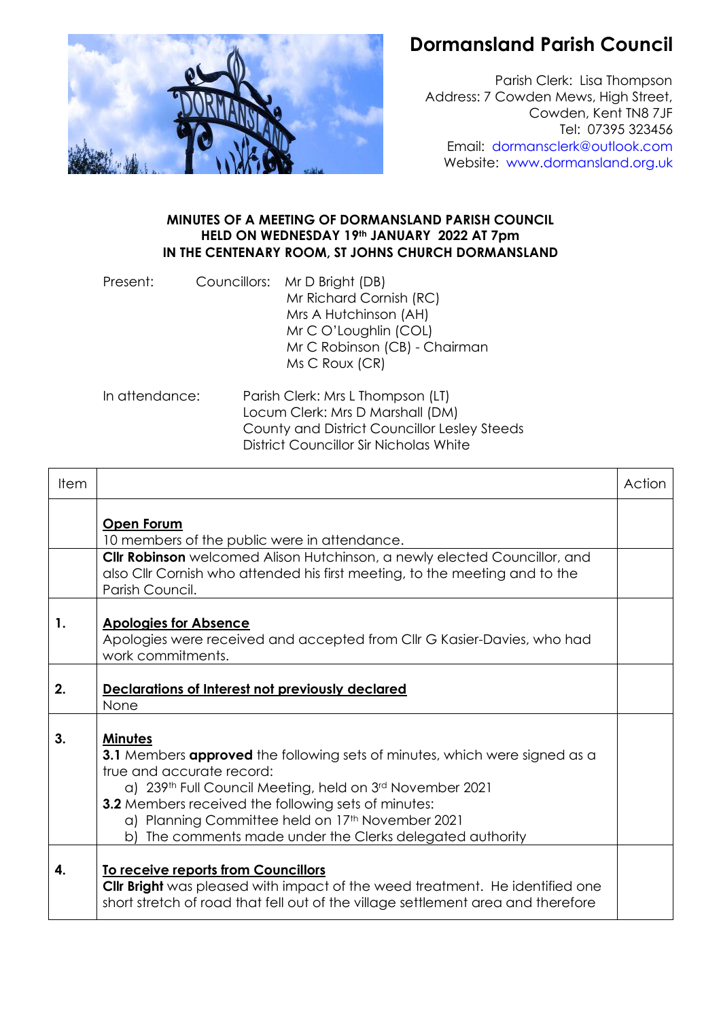

## **Dormansland Parish Council**

Parish Clerk: Lisa Thompson Address: 7 Cowden Mews, High Street, Cowden, Kent TN8 7JF Tel: 07395 323456 Email: [dormansclerk@outlook.com](mailto:dormansclerk@outlook.com) Website: [www.dormansland.org.uk](http://www.dormansland.org.uk/)

## **MINUTES OF A MEETING OF DORMANSLAND PARISH COUNCIL HELD ON WEDNESDAY 19th JANUARY 2022 AT 7pm IN THE CENTENARY ROOM, ST JOHNS CHURCH DORMANSLAND**

| Present: | Councillors: Mr D Bright (DB)<br>Mr Richard Cornish (RC)<br>Mrs A Hutchinson (AH)<br>Mr C O'Loughlin (COL)<br>Mr C Robinson (CB) - Chairman<br>Ms C Roux (CR) |
|----------|---------------------------------------------------------------------------------------------------------------------------------------------------------------|
|          |                                                                                                                                                               |

In attendance: Parish Clerk: Mrs L Thompson (LT) Locum Clerk: Mrs D Marshall (DM) County and District Councillor Lesley Steeds District Councillor Sir Nicholas White

| Item |                                                                                                                                                                                                                                                                                                                                                                                         | Action |
|------|-----------------------------------------------------------------------------------------------------------------------------------------------------------------------------------------------------------------------------------------------------------------------------------------------------------------------------------------------------------------------------------------|--------|
|      | Open Forum<br>10 members of the public were in attendance.                                                                                                                                                                                                                                                                                                                              |        |
|      | Cllr Robinson welcomed Alison Hutchinson, a newly elected Councillor, and<br>also Cllr Cornish who attended his first meeting, to the meeting and to the<br>Parish Council.                                                                                                                                                                                                             |        |
| 1.   | <b>Apologies for Absence</b><br>Apologies were received and accepted from CIIr G Kasier-Davies, who had<br>work commitments.                                                                                                                                                                                                                                                            |        |
| 2.   | Declarations of Interest not previously declared<br>None                                                                                                                                                                                                                                                                                                                                |        |
| 3.   | <b>Minutes</b><br><b>3.1</b> Members <b>approved</b> the following sets of minutes, which were signed as a<br>true and accurate record:<br>a) 239th Full Council Meeting, held on 3rd November 2021<br>3.2 Members received the following sets of minutes:<br>a) Planning Committee held on 17 <sup>th</sup> November 2021<br>b) The comments made under the Clerks delegated authority |        |
| 4.   | To receive reports from Councillors<br><b>Clir Bright</b> was pleased with impact of the weed treatment. He identified one<br>short stretch of road that fell out of the village settlement area and therefore                                                                                                                                                                          |        |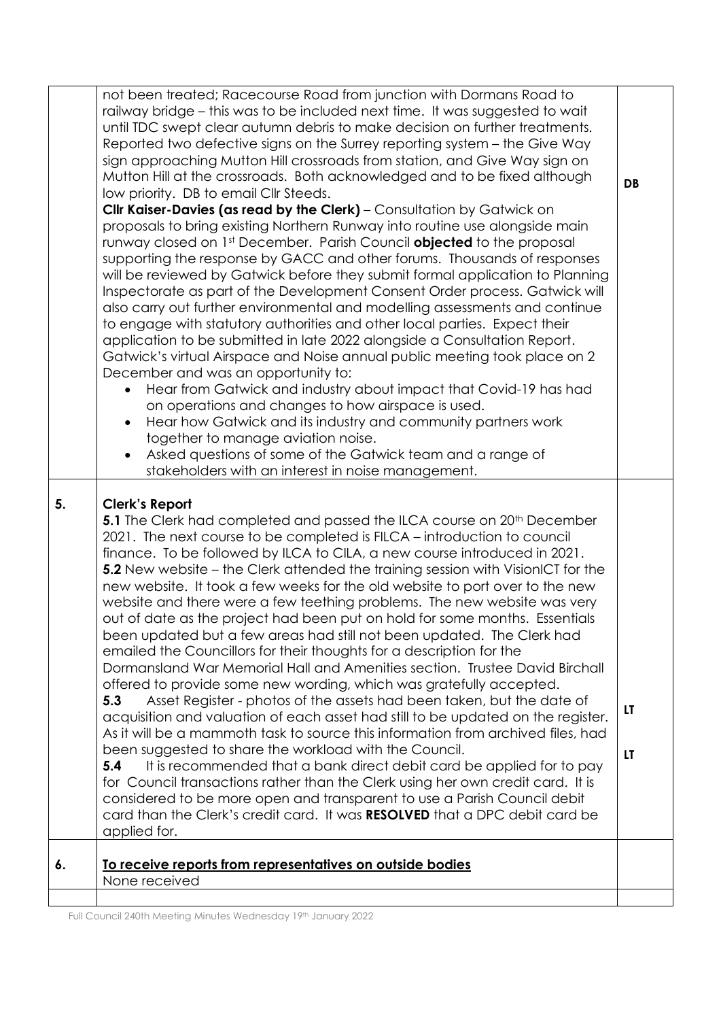|    | not been treated; Racecourse Road from junction with Dormans Road to<br>railway bridge – this was to be included next time. It was suggested to wait<br>until TDC swept clear autumn debris to make decision on further treatments.<br>Reported two defective signs on the Surrey reporting system – the Give Way<br>sign approaching Mutton Hill crossroads from station, and Give Way sign on<br>Mutton Hill at the crossroads. Both acknowledged and to be fixed although<br>low priority. DB to email Cllr Steeds.<br>Cllr Kaiser-Davies (as read by the Clerk) - Consultation by Gatwick on<br>proposals to bring existing Northern Runway into routine use alongside main<br>runway closed on 1st December. Parish Council <b>objected</b> to the proposal<br>supporting the response by GACC and other forums. Thousands of responses<br>will be reviewed by Gatwick before they submit formal application to Planning<br>Inspectorate as part of the Development Consent Order process. Gatwick will<br>also carry out further environmental and modelling assessments and continue<br>to engage with statutory authorities and other local parties. Expect their<br>application to be submitted in late 2022 alongside a Consultation Report.<br>Gatwick's virtual Airspace and Noise annual public meeting took place on 2<br>December and was an opportunity to:<br>Hear from Gatwick and industry about impact that Covid-19 has had<br>$\bullet$<br>on operations and changes to how airspace is used.<br>Hear how Gatwick and its industry and community partners work<br>together to manage aviation noise.<br>Asked questions of some of the Gatwick team and a range of<br>$\bullet$<br>stakeholders with an interest in noise management. | DB        |
|----|-------------------------------------------------------------------------------------------------------------------------------------------------------------------------------------------------------------------------------------------------------------------------------------------------------------------------------------------------------------------------------------------------------------------------------------------------------------------------------------------------------------------------------------------------------------------------------------------------------------------------------------------------------------------------------------------------------------------------------------------------------------------------------------------------------------------------------------------------------------------------------------------------------------------------------------------------------------------------------------------------------------------------------------------------------------------------------------------------------------------------------------------------------------------------------------------------------------------------------------------------------------------------------------------------------------------------------------------------------------------------------------------------------------------------------------------------------------------------------------------------------------------------------------------------------------------------------------------------------------------------------------------------------------------------------------------------------------------------------------------------------------|-----------|
| 5. | <b>Clerk's Report</b><br>5.1 The Clerk had completed and passed the ILCA course on 20 <sup>th</sup> December<br>2021. The next course to be completed is FILCA – introduction to council<br>finance. To be followed by ILCA to CILA, a new course introduced in 2021.<br>5.2 New website – the Clerk attended the training session with VisionICT for the<br>new website. It took a few weeks for the old website to port over to the new<br>website and there were a few teething problems. The new website was very<br>out of date as the project had been put on hold for some months. Essentials<br>been updated but a few areas had still not been updated. The Clerk had<br>emailed the Councillors for their thoughts for a description for the<br>Dormansland War Memorial Hall and Amenities section. Trustee David Birchall<br>offered to provide some new wording, which was gratefully accepted.<br>5.3<br>Asset Register - photos of the assets had been taken, but the date of<br>acquisition and valuation of each asset had still to be updated on the register.<br>As it will be a mammoth task to source this information from archived files, had<br>been suggested to share the workload with the Council.<br>It is recommended that a bank direct debit card be applied for to pay<br>5.4<br>for Council transactions rather than the Clerk using her own credit card. It is<br>considered to be more open and transparent to use a Parish Council debit<br>card than the Clerk's credit card. It was RESOLVED that a DPC debit card be<br>applied for.                                                                                                                                                                                | LT<br>LT. |
| 6. | To receive reports from representatives on outside bodies<br>None received                                                                                                                                                                                                                                                                                                                                                                                                                                                                                                                                                                                                                                                                                                                                                                                                                                                                                                                                                                                                                                                                                                                                                                                                                                                                                                                                                                                                                                                                                                                                                                                                                                                                                  |           |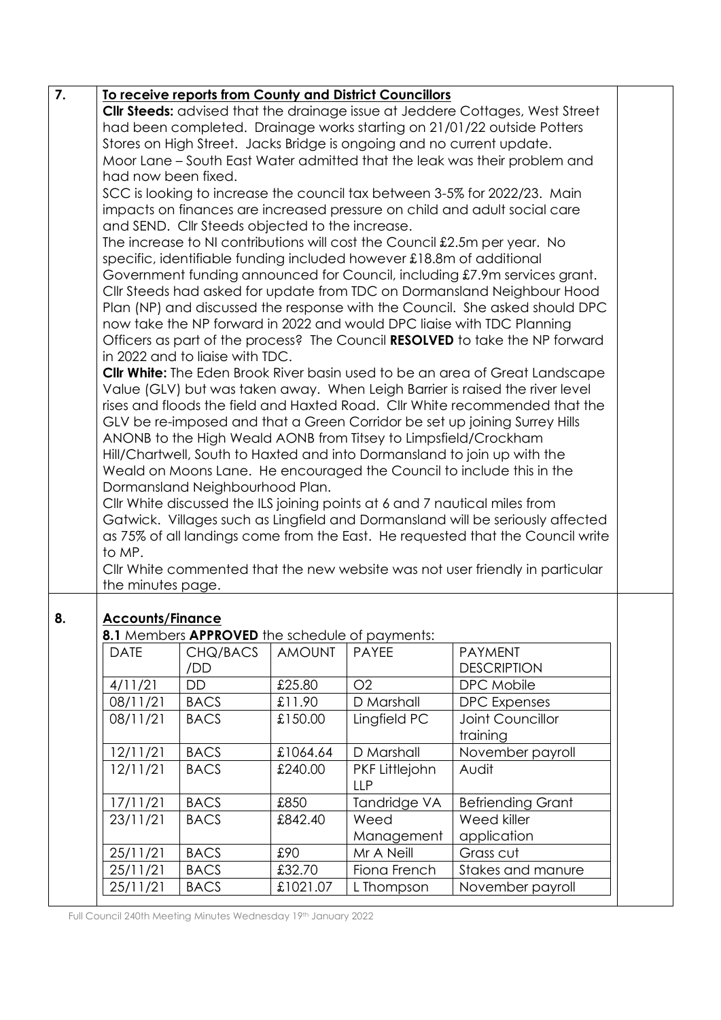| 7. |                                                                                |                                 |               | To receive reports from County and District Councillors         |                                                                                      |  |  |
|----|--------------------------------------------------------------------------------|---------------------------------|---------------|-----------------------------------------------------------------|--------------------------------------------------------------------------------------|--|--|
|    |                                                                                |                                 |               |                                                                 | <b>Clir Steeds:</b> advised that the drainage issue at Jeddere Cottages, West Street |  |  |
|    | had been completed. Drainage works starting on 21/01/22 outside Potters        |                                 |               |                                                                 |                                                                                      |  |  |
|    | Stores on High Street. Jacks Bridge is ongoing and no current update.          |                                 |               |                                                                 |                                                                                      |  |  |
|    | Moor Lane – South East Water admitted that the leak was their problem and      |                                 |               |                                                                 |                                                                                      |  |  |
|    | had now been fixed.                                                            |                                 |               |                                                                 |                                                                                      |  |  |
|    | SCC is looking to increase the council tax between 3-5% for 2022/23. Main      |                                 |               |                                                                 |                                                                                      |  |  |
|    | impacts on finances are increased pressure on child and adult social care      |                                 |               |                                                                 |                                                                                      |  |  |
|    | and SEND. Cllr Steeds objected to the increase.                                |                                 |               |                                                                 |                                                                                      |  |  |
|    | The increase to NI contributions will cost the Council £2.5m per year. No      |                                 |               |                                                                 |                                                                                      |  |  |
|    | specific, identifiable funding included however £18.8m of additional           |                                 |               |                                                                 |                                                                                      |  |  |
|    |                                                                                |                                 |               |                                                                 | Government funding announced for Council, including £7.9m services grant.            |  |  |
|    |                                                                                |                                 |               |                                                                 | Cllr Steeds had asked for update from TDC on Dormansland Neighbour Hood              |  |  |
|    |                                                                                |                                 |               |                                                                 | Plan (NP) and discussed the response with the Council. She asked should DPC          |  |  |
|    |                                                                                |                                 |               |                                                                 | now take the NP forward in 2022 and would DPC liaise with TDC Planning               |  |  |
|    |                                                                                |                                 |               |                                                                 | Officers as part of the process? The Council RESOLVED to take the NP forward         |  |  |
|    |                                                                                | in 2022 and to liaise with TDC. |               |                                                                 |                                                                                      |  |  |
|    |                                                                                |                                 |               |                                                                 | Cllr White: The Eden Brook River basin used to be an area of Great Landscape         |  |  |
|    |                                                                                |                                 |               |                                                                 | Value (GLV) but was taken away. When Leigh Barrier is raised the river level         |  |  |
|    |                                                                                |                                 |               |                                                                 | rises and floods the field and Haxted Road. Cllr White recommended that the          |  |  |
|    |                                                                                |                                 |               |                                                                 | GLV be re-imposed and that a Green Corridor be set up joining Surrey Hills           |  |  |
|    |                                                                                |                                 |               | ANONB to the High Weald AONB from Titsey to Limpsfield/Crockham |                                                                                      |  |  |
|    |                                                                                |                                 |               |                                                                 | Hill/Chartwell, South to Haxted and into Dormansland to join up with the             |  |  |
|    |                                                                                |                                 |               |                                                                 | Weald on Moons Lane. He encouraged the Council to include this in the                |  |  |
|    |                                                                                | Dormansland Neighbourhood Plan. |               |                                                                 |                                                                                      |  |  |
|    |                                                                                |                                 |               |                                                                 | Cllr White discussed the ILS joining points at 6 and 7 nautical miles from           |  |  |
|    |                                                                                |                                 |               |                                                                 | Gatwick. Villages such as Lingfield and Dormansland will be seriously affected       |  |  |
|    | as 75% of all landings come from the East. He requested that the Council write |                                 |               |                                                                 |                                                                                      |  |  |
|    | to MP.                                                                         |                                 |               |                                                                 |                                                                                      |  |  |
|    |                                                                                |                                 |               |                                                                 | Cllr White commented that the new website was not user friendly in particular        |  |  |
|    | the minutes page.                                                              |                                 |               |                                                                 |                                                                                      |  |  |
|    |                                                                                |                                 |               |                                                                 |                                                                                      |  |  |
| 8. | <b>Accounts/Finance</b>                                                        |                                 |               | 8.1 Members APPROVED the schedule of payments:                  |                                                                                      |  |  |
|    |                                                                                |                                 |               |                                                                 | <b>PAYMENT</b>                                                                       |  |  |
|    | <b>DATE</b>                                                                    | CHQ/BACS                        | <b>AMOUNT</b> | <b>PAYEE</b>                                                    |                                                                                      |  |  |
|    |                                                                                | /DD<br><b>DD</b>                |               | O2                                                              | <b>DESCRIPTION</b>                                                                   |  |  |
|    | 4/11/21                                                                        |                                 | £25.80        |                                                                 | DPC Mobile                                                                           |  |  |
|    | 08/11/21                                                                       | <b>BACS</b>                     | £11.90        | D Marshall                                                      | <b>DPC</b> Expenses                                                                  |  |  |
|    | 08/11/21                                                                       | <b>BACS</b>                     | £150.00       | Lingfield PC                                                    | Joint Councillor                                                                     |  |  |
|    |                                                                                |                                 |               |                                                                 | training                                                                             |  |  |
|    | 12/11/21                                                                       | <b>BACS</b>                     | £1064.64      | D Marshall                                                      | November payroll                                                                     |  |  |
|    | 12/11/21                                                                       | <b>BACS</b>                     | £240.00       | PKF Littlejohn                                                  | Audit                                                                                |  |  |
|    |                                                                                |                                 |               | <b>LLP</b>                                                      |                                                                                      |  |  |
|    | 17/11/21                                                                       | <b>BACS</b>                     | £850          | Tandridge VA                                                    | <b>Befriending Grant</b>                                                             |  |  |
|    | 23/11/21                                                                       | <b>BACS</b>                     | £842.40       | Weed                                                            | Weed killer                                                                          |  |  |
|    |                                                                                |                                 |               | Management                                                      | application                                                                          |  |  |
|    | 25/11/21                                                                       | <b>BACS</b>                     | £90           | Mr A Neill                                                      | Grass cut                                                                            |  |  |
|    | 25/11/21                                                                       | <b>BACS</b>                     | £32.70        | Fiona French                                                    | Stakes and manure                                                                    |  |  |
|    | 25/11/21                                                                       | <b>BACS</b>                     | £1021.07      | L Thompson                                                      | November payroll                                                                     |  |  |

Full Council 240th Meeting Minutes Wednesday 19th January 2022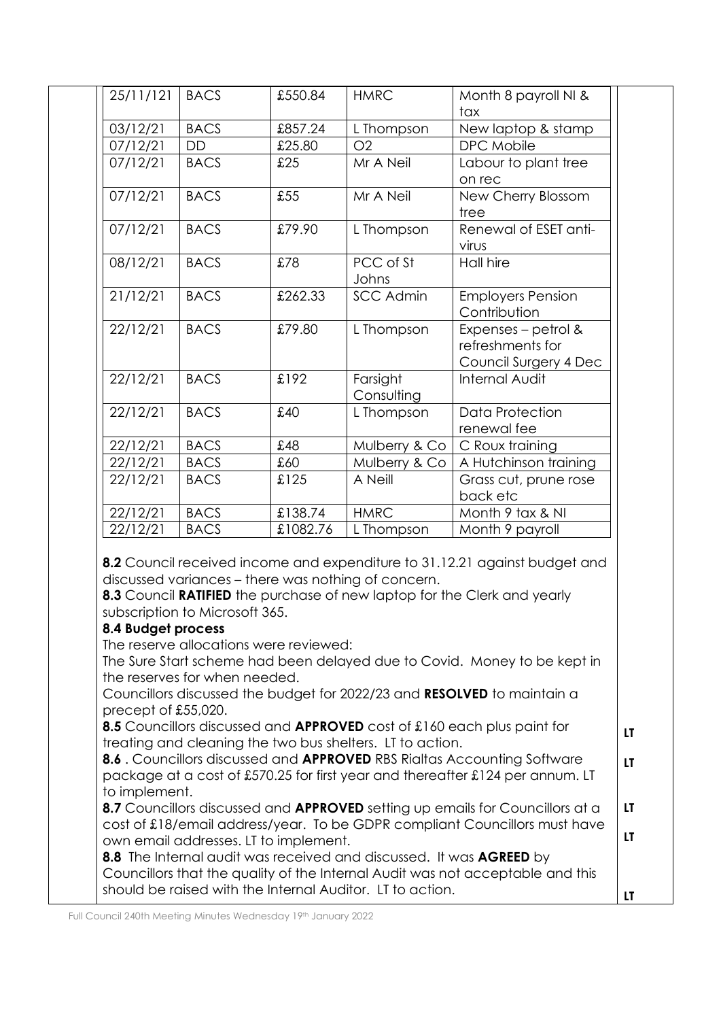|                                            | <b>BACS</b>                                                     | £550.84                                | <b>HMRC</b>                                                                                                                      | Month 8 payroll NI &                                                                                                                                                                                                            |
|--------------------------------------------|-----------------------------------------------------------------|----------------------------------------|----------------------------------------------------------------------------------------------------------------------------------|---------------------------------------------------------------------------------------------------------------------------------------------------------------------------------------------------------------------------------|
|                                            | <b>BACS</b>                                                     |                                        |                                                                                                                                  | tax                                                                                                                                                                                                                             |
| 03/12/21                                   | DD                                                              | £857.24<br>£25.80                      | L Thompson<br>O2                                                                                                                 | New laptop & stamp<br>DPC Mobile                                                                                                                                                                                                |
| 07/12/21<br>07/12/21                       | <b>BACS</b>                                                     | £25                                    | Mr A Neil                                                                                                                        |                                                                                                                                                                                                                                 |
|                                            |                                                                 |                                        |                                                                                                                                  | Labour to plant tree<br>on rec                                                                                                                                                                                                  |
| 07/12/21                                   | <b>BACS</b>                                                     | £55                                    | Mr A Neil                                                                                                                        | New Cherry Blossom<br>tree                                                                                                                                                                                                      |
| 07/12/21                                   | <b>BACS</b>                                                     | £79.90                                 | L Thompson                                                                                                                       | Renewal of ESET anti-<br>virus                                                                                                                                                                                                  |
| 08/12/21                                   | <b>BACS</b>                                                     | £78                                    | PCC of St<br>Johns                                                                                                               | <b>Hall hire</b>                                                                                                                                                                                                                |
| 21/12/21                                   | <b>BACS</b>                                                     | £262.33                                | <b>SCC Admin</b>                                                                                                                 | <b>Employers Pension</b><br>Contribution                                                                                                                                                                                        |
| 22/12/21                                   | <b>BACS</b>                                                     | £79.80                                 | L Thompson                                                                                                                       | Expenses - petrol &<br>refreshments for<br>Council Surgery 4 Dec                                                                                                                                                                |
| 22/12/21                                   | <b>BACS</b>                                                     | £192                                   | Farsight<br>Consulting                                                                                                           | Internal Audit                                                                                                                                                                                                                  |
| 22/12/21                                   | <b>BACS</b>                                                     | £40                                    | L Thompson                                                                                                                       | <b>Data Protection</b><br>renewal fee                                                                                                                                                                                           |
| 22/12/21                                   | <b>BACS</b>                                                     | £48                                    | Mulberry & Co                                                                                                                    | C Roux training                                                                                                                                                                                                                 |
| 22/12/21                                   | <b>BACS</b>                                                     | £60                                    | Mulberry & Co                                                                                                                    | A Hutchinson training                                                                                                                                                                                                           |
| 22/12/21                                   | <b>BACS</b>                                                     | £125                                   | A Neill                                                                                                                          | Grass cut, prune rose                                                                                                                                                                                                           |
|                                            |                                                                 |                                        |                                                                                                                                  | back etc                                                                                                                                                                                                                        |
|                                            |                                                                 |                                        |                                                                                                                                  |                                                                                                                                                                                                                                 |
|                                            |                                                                 |                                        |                                                                                                                                  |                                                                                                                                                                                                                                 |
|                                            | <b>BACS</b><br><b>BACS</b>                                      | £138.74<br>£1082.76                    | <b>HMRC</b><br>L Thompson                                                                                                        | Month 9 tax & NI<br>Month 9 payroll<br>8.2 Council received income and expenditure to 31.12.21 against budget and                                                                                                               |
| 22/12/21<br>22/12/21<br>8.4 Budget process | subscription to Microsoft 365.<br>the reserves for when needed. | The reserve allocations were reviewed: | discussed variances - there was nothing of concern.                                                                              | 8.3 Council RATIFIED the purchase of new laptop for the Clerk and yearly<br>The Sure Start scheme had been delayed due to Covid. Money to be kept in<br>Councillors discussed the budget for 2022/23 and RESOLVED to maintain a |
| precept of £55,020.                        |                                                                 |                                        |                                                                                                                                  | 8.5 Councillors discussed and APPROVED cost of £160 each plus paint for                                                                                                                                                         |
|                                            |                                                                 |                                        | treating and cleaning the two bus shelters. LT to action.                                                                        |                                                                                                                                                                                                                                 |
|                                            |                                                                 |                                        |                                                                                                                                  | 8.6. Councillors discussed and APPROVED RBS Rialtas Accounting Software<br>package at a cost of £570.25 for first year and thereafter £124 per annum. LT                                                                        |
| to implement.                              |                                                                 |                                        |                                                                                                                                  | 8.7 Councillors discussed and APPROVED setting up emails for Councillors at a                                                                                                                                                   |
|                                            |                                                                 |                                        |                                                                                                                                  |                                                                                                                                                                                                                                 |
|                                            |                                                                 | own email addresses. LT to implement.  | 8.8 The Internal audit was received and discussed. It was AGREED by<br>should be raised with the Internal Auditor. LT to action. | cost of £18/email address/year. To be GDPR compliant Councillors must have<br>Councillors that the quality of the Internal Audit was not acceptable and this                                                                    |

Full Council 240th Meeting Minutes Wednesday 19th January 2022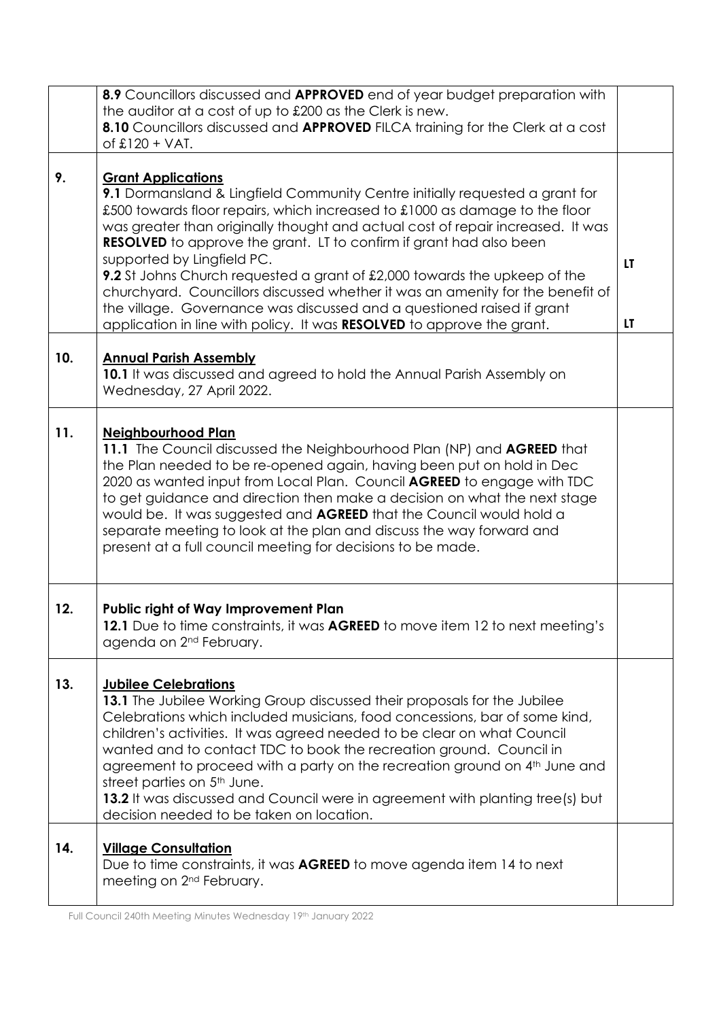|     | 8.9 Councillors discussed and APPROVED end of year budget preparation with                                                                                                                                                                                                                                                                                                                                                                                                                                                                                                                                                                                                                                 |          |
|-----|------------------------------------------------------------------------------------------------------------------------------------------------------------------------------------------------------------------------------------------------------------------------------------------------------------------------------------------------------------------------------------------------------------------------------------------------------------------------------------------------------------------------------------------------------------------------------------------------------------------------------------------------------------------------------------------------------------|----------|
|     | the auditor at a cost of up to £200 as the Clerk is new.                                                                                                                                                                                                                                                                                                                                                                                                                                                                                                                                                                                                                                                   |          |
|     | 8.10 Councillors discussed and APPROVED FILCA training for the Clerk at a cost                                                                                                                                                                                                                                                                                                                                                                                                                                                                                                                                                                                                                             |          |
|     | of $£120 + VAT$ .                                                                                                                                                                                                                                                                                                                                                                                                                                                                                                                                                                                                                                                                                          |          |
| 9.  | <b>Grant Applications</b><br>9.1 Dormansland & Lingfield Community Centre initially requested a grant for<br>£500 towards floor repairs, which increased to £1000 as damage to the floor<br>was greater than originally thought and actual cost of repair increased. It was<br><b>RESOLVED</b> to approve the grant. LT to confirm if grant had also been<br>supported by Lingfield PC.<br>9.2 St Johns Church requested a grant of £2,000 towards the upkeep of the<br>churchyard. Councillors discussed whether it was an amenity for the benefit of<br>the village. Governance was discussed and a questioned raised if grant<br>application in line with policy. It was RESOLVED to approve the grant. | LT<br>LT |
| 10. | <b>Annual Parish Assembly</b><br>10.1 It was discussed and agreed to hold the Annual Parish Assembly on<br>Wednesday, 27 April 2022.                                                                                                                                                                                                                                                                                                                                                                                                                                                                                                                                                                       |          |
| 11. | <b>Neighbourhood Plan</b><br>11.1 The Council discussed the Neighbourhood Plan (NP) and AGREED that<br>the Plan needed to be re-opened again, having been put on hold in Dec<br>2020 as wanted input from Local Plan. Council <b>AGREED</b> to engage with TDC<br>to get guidance and direction then make a decision on what the next stage<br>would be. It was suggested and <b>AGREED</b> that the Council would hold a<br>separate meeting to look at the plan and discuss the way forward and<br>present at a full council meeting for decisions to be made.                                                                                                                                           |          |
| 12. | Public right of Way Improvement Plan<br>12.1 Due to time constraints, it was AGREED to move item 12 to next meeting's<br>agenda on 2 <sup>nd</sup> February.                                                                                                                                                                                                                                                                                                                                                                                                                                                                                                                                               |          |
| 13. | <b>Jubilee Celebrations</b><br>13.1 The Jubilee Working Group discussed their proposals for the Jubilee<br>Celebrations which included musicians, food concessions, bar of some kind,<br>children's activities. It was agreed needed to be clear on what Council<br>wanted and to contact TDC to book the recreation ground. Council in<br>agreement to proceed with a party on the recreation ground on 4 <sup>th</sup> June and<br>street parties on 5 <sup>th</sup> June.<br>13.2 It was discussed and Council were in agreement with planting tree(s) but<br>decision needed to be taken on location.                                                                                                  |          |
| 14. | <b>Village Consultation</b><br>Due to time constraints, it was <b>AGREED</b> to move agenda item 14 to next<br>meeting on 2 <sup>nd</sup> February.                                                                                                                                                                                                                                                                                                                                                                                                                                                                                                                                                        |          |